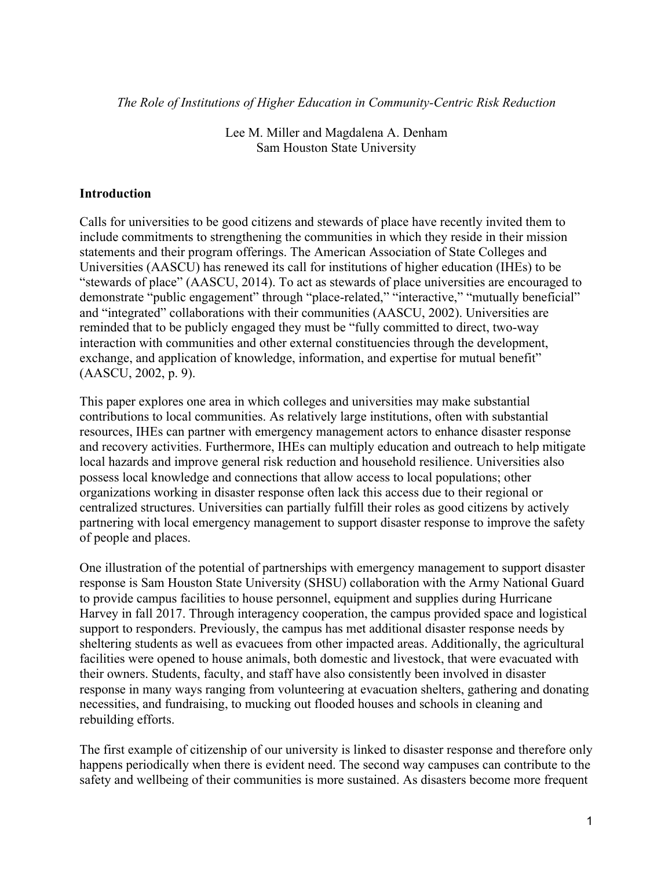*The Role of Institutions of Higher Education in Community-Centric Risk Reduction*

Lee M. Miller and Magdalena A. Denham Sam Houston State University

## **Introduction**

Calls for universities to be good citizens and stewards of place have recently invited them to include commitments to strengthening the communities in which they reside in their mission statements and their program offerings. The American Association of State Colleges and Universities (AASCU) has renewed its call for institutions of higher education (IHEs) to be "stewards of place" (AASCU, 2014). To act as stewards of place universities are encouraged to demonstrate "public engagement" through "place-related," "interactive," "mutually beneficial" and "integrated" collaborations with their communities (AASCU, 2002). Universities are reminded that to be publicly engaged they must be "fully committed to direct, two-way interaction with communities and other external constituencies through the development, exchange, and application of knowledge, information, and expertise for mutual benefit" (AASCU, 2002, p. 9).

This paper explores one area in which colleges and universities may make substantial contributions to local communities. As relatively large institutions, often with substantial resources, IHEs can partner with emergency management actors to enhance disaster response and recovery activities. Furthermore, IHEs can multiply education and outreach to help mitigate local hazards and improve general risk reduction and household resilience. Universities also possess local knowledge and connections that allow access to local populations; other organizations working in disaster response often lack this access due to their regional or centralized structures. Universities can partially fulfill their roles as good citizens by actively partnering with local emergency management to support disaster response to improve the safety of people and places.

One illustration of the potential of partnerships with emergency management to support disaster response is Sam Houston State University (SHSU) collaboration with the Army National Guard to provide campus facilities to house personnel, equipment and supplies during Hurricane Harvey in fall 2017. Through interagency cooperation, the campus provided space and logistical support to responders. Previously, the campus has met additional disaster response needs by sheltering students as well as evacuees from other impacted areas. Additionally, the agricultural facilities were opened to house animals, both domestic and livestock, that were evacuated with their owners. Students, faculty, and staff have also consistently been involved in disaster response in many ways ranging from volunteering at evacuation shelters, gathering and donating necessities, and fundraising, to mucking out flooded houses and schools in cleaning and rebuilding efforts.

The first example of citizenship of our university is linked to disaster response and therefore only happens periodically when there is evident need. The second way campuses can contribute to the safety and wellbeing of their communities is more sustained. As disasters become more frequent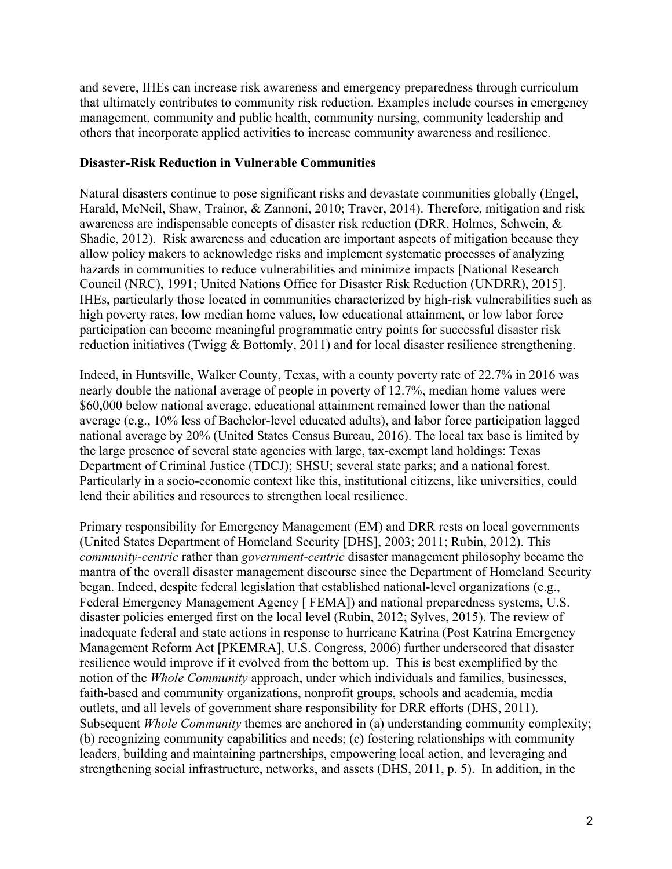and severe, IHEs can increase risk awareness and emergency preparedness through curriculum that ultimately contributes to community risk reduction. Examples include courses in emergency management, community and public health, community nursing, community leadership and others that incorporate applied activities to increase community awareness and resilience.

## **Disaster-Risk Reduction in Vulnerable Communities**

Natural disasters continue to pose significant risks and devastate communities globally (Engel, Harald, McNeil, Shaw, Trainor, & Zannoni, 2010; Traver, 2014). Therefore, mitigation and risk awareness are indispensable concepts of disaster risk reduction (DRR, Holmes, Schwein, & Shadie, 2012). Risk awareness and education are important aspects of mitigation because they allow policy makers to acknowledge risks and implement systematic processes of analyzing hazards in communities to reduce vulnerabilities and minimize impacts [National Research Council (NRC), 1991; United Nations Office for Disaster Risk Reduction (UNDRR), 2015]. IHEs, particularly those located in communities characterized by high-risk vulnerabilities such as high poverty rates, low median home values, low educational attainment, or low labor force participation can become meaningful programmatic entry points for successful disaster risk reduction initiatives (Twigg & Bottomly, 2011) and for local disaster resilience strengthening.

Indeed, in Huntsville, Walker County, Texas, with a county poverty rate of 22.7% in 2016 was nearly double the national average of people in poverty of 12.7%, median home values were \$60,000 below national average, educational attainment remained lower than the national average (e.g., 10% less of Bachelor-level educated adults), and labor force participation lagged national average by 20% (United States Census Bureau, 2016). The local tax base is limited by the large presence of several state agencies with large, tax-exempt land holdings: Texas Department of Criminal Justice (TDCJ); SHSU; several state parks; and a national forest. Particularly in a socio-economic context like this, institutional citizens, like universities, could lend their abilities and resources to strengthen local resilience.

Primary responsibility for Emergency Management (EM) and DRR rests on local governments (United States Department of Homeland Security [DHS], 2003; 2011; Rubin, 2012). This *community-centric* rather than *government-centric* disaster management philosophy became the mantra of the overall disaster management discourse since the Department of Homeland Security began. Indeed, despite federal legislation that established national-level organizations (e.g., Federal Emergency Management Agency [ FEMA]) and national preparedness systems, U.S. disaster policies emerged first on the local level (Rubin, 2012; Sylves, 2015). The review of inadequate federal and state actions in response to hurricane Katrina (Post Katrina Emergency Management Reform Act [PKEMRA], U.S. Congress, 2006) further underscored that disaster resilience would improve if it evolved from the bottom up. This is best exemplified by the notion of the *Whole Community* approach, under which individuals and families, businesses, faith-based and community organizations, nonprofit groups, schools and academia, media outlets, and all levels of government share responsibility for DRR efforts (DHS, 2011). Subsequent *Whole Community* themes are anchored in (a) understanding community complexity; (b) recognizing community capabilities and needs; (c) fostering relationships with community leaders, building and maintaining partnerships, empowering local action, and leveraging and strengthening social infrastructure, networks, and assets (DHS, 2011, p. 5). In addition, in the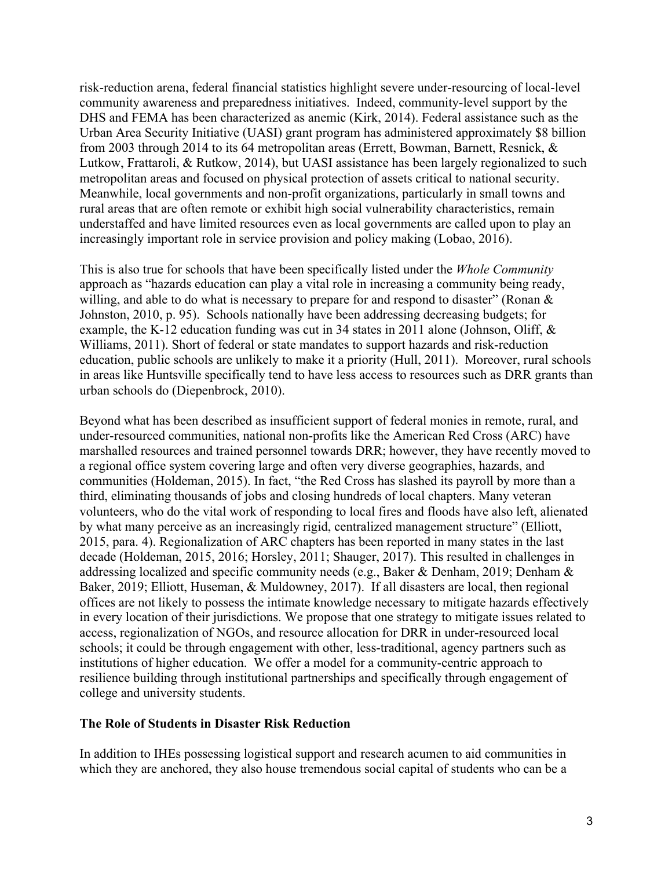risk-reduction arena, federal financial statistics highlight severe under-resourcing of local-level community awareness and preparedness initiatives. Indeed, community-level support by the DHS and FEMA has been characterized as anemic (Kirk, 2014). Federal assistance such as the Urban Area Security Initiative (UASI) grant program has administered approximately \$8 billion from 2003 through 2014 to its 64 metropolitan areas (Errett, Bowman, Barnett, Resnick, & Lutkow, Frattaroli, & Rutkow, 2014), but UASI assistance has been largely regionalized to such metropolitan areas and focused on physical protection of assets critical to national security. Meanwhile, local governments and non-profit organizations, particularly in small towns and rural areas that are often remote or exhibit high social vulnerability characteristics, remain understaffed and have limited resources even as local governments are called upon to play an increasingly important role in service provision and policy making (Lobao, 2016).

This is also true for schools that have been specifically listed under the *Whole Community* approach as "hazards education can play a vital role in increasing a community being ready, willing, and able to do what is necessary to prepare for and respond to disaster" (Ronan & Johnston, 2010, p. 95). Schools nationally have been addressing decreasing budgets; for example, the K-12 education funding was cut in 34 states in 2011 alone (Johnson, Oliff, & Williams, 2011). Short of federal or state mandates to support hazards and risk-reduction education, public schools are unlikely to make it a priority (Hull, 2011). Moreover, rural schools in areas like Huntsville specifically tend to have less access to resources such as DRR grants than urban schools do (Diepenbrock, 2010).

Beyond what has been described as insufficient support of federal monies in remote, rural, and under-resourced communities, national non-profits like the American Red Cross (ARC) have marshalled resources and trained personnel towards DRR; however, they have recently moved to a regional office system covering large and often very diverse geographies, hazards, and communities (Holdeman, 2015). In fact, "the Red Cross has slashed its payroll by more than a third, eliminating thousands of jobs and closing hundreds of local chapters. Many veteran volunteers, who do the vital work of responding to local fires and floods have also left, alienated by what many perceive as an increasingly rigid, centralized management structure" (Elliott, 2015, para. 4). Regionalization of ARC chapters has been reported in many states in the last decade (Holdeman, 2015, 2016; Horsley, 2011; Shauger, 2017). This resulted in challenges in addressing localized and specific community needs (e.g., Baker & Denham, 2019; Denham & Baker, 2019; Elliott, Huseman, & Muldowney, 2017). If all disasters are local, then regional offices are not likely to possess the intimate knowledge necessary to mitigate hazards effectively in every location of their jurisdictions. We propose that one strategy to mitigate issues related to access, regionalization of NGOs, and resource allocation for DRR in under-resourced local schools; it could be through engagement with other, less-traditional, agency partners such as institutions of higher education. We offer a model for a community-centric approach to resilience building through institutional partnerships and specifically through engagement of college and university students.

## **The Role of Students in Disaster Risk Reduction**

In addition to IHEs possessing logistical support and research acumen to aid communities in which they are anchored, they also house tremendous social capital of students who can be a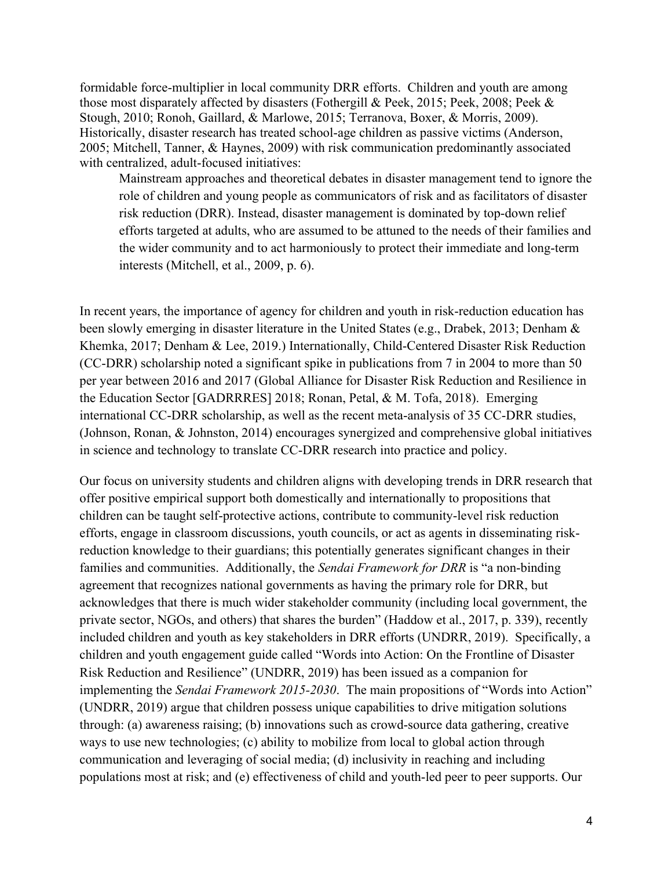formidable force-multiplier in local community DRR efforts. Children and youth are among those most disparately affected by disasters (Fothergill & Peek, 2015; Peek, 2008; Peek & Stough, 2010; Ronoh, Gaillard, & Marlowe, 2015; Terranova, Boxer, & Morris, 2009). Historically, disaster research has treated school-age children as passive victims (Anderson, 2005; Mitchell, Tanner, & Haynes, 2009) with risk communication predominantly associated with centralized, adult-focused initiatives:

Mainstream approaches and theoretical debates in disaster management tend to ignore the role of children and young people as communicators of risk and as facilitators of disaster risk reduction (DRR). Instead, disaster management is dominated by top-down relief efforts targeted at adults, who are assumed to be attuned to the needs of their families and the wider community and to act harmoniously to protect their immediate and long-term interests (Mitchell, et al., 2009, p. 6).

In recent years, the importance of agency for children and youth in risk-reduction education has been slowly emerging in disaster literature in the United States (e.g., Drabek, 2013; Denham & Khemka, 2017; Denham & Lee, 2019.) Internationally, Child-Centered Disaster Risk Reduction (CC-DRR) scholarship noted a significant spike in publications from 7 in 2004 to more than 50 per year between 2016 and 2017 (Global Alliance for Disaster Risk Reduction and Resilience in the Education Sector [GADRRRES] 2018; Ronan, Petal, & M. Tofa, 2018). Emerging international CC-DRR scholarship, as well as the recent meta-analysis of 35 CC-DRR studies, (Johnson, Ronan, & Johnston, 2014) encourages synergized and comprehensive global initiatives in science and technology to translate CC-DRR research into practice and policy.

Our focus on university students and children aligns with developing trends in DRR research that offer positive empirical support both domestically and internationally to propositions that children can be taught self-protective actions, contribute to community-level risk reduction efforts, engage in classroom discussions, youth councils, or act as agents in disseminating riskreduction knowledge to their guardians; this potentially generates significant changes in their families and communities.Additionally, the *Sendai Framework for DRR* is "a non-binding agreement that recognizes national governments as having the primary role for DRR, but acknowledges that there is much wider stakeholder community (including local government, the private sector, NGOs, and others) that shares the burden" (Haddow et al., 2017, p. 339), recently included children and youth as key stakeholders in DRR efforts (UNDRR, 2019). Specifically, a children and youth engagement guide called "Words into Action: On the Frontline of Disaster Risk Reduction and Resilience" (UNDRR, 2019) has been issued as a companion for implementing the *Sendai Framework 2015-2030*. The main propositions of "Words into Action" (UNDRR, 2019) argue that children possess unique capabilities to drive mitigation solutions through: (a) awareness raising; (b) innovations such as crowd-source data gathering, creative ways to use new technologies; (c) ability to mobilize from local to global action through communication and leveraging of social media; (d) inclusivity in reaching and including populations most at risk; and (e) effectiveness of child and youth-led peer to peer supports. Our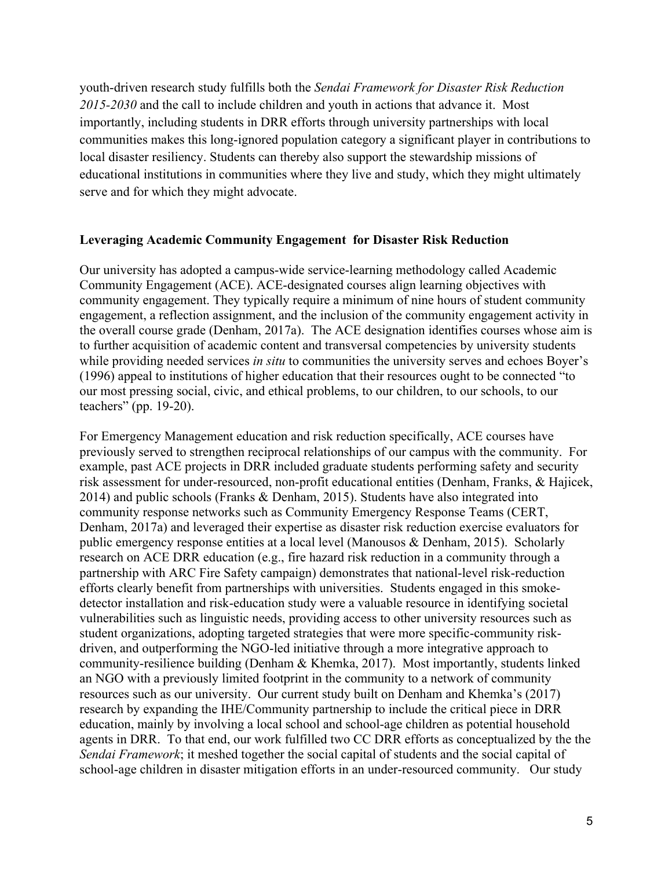youth-driven research study fulfills both the *Sendai Framework for Disaster Risk Reduction 2015-2030* and the call to include children and youth in actions that advance it. Most importantly, including students in DRR efforts through university partnerships with local communities makes this long-ignored population category a significant player in contributions to local disaster resiliency. Students can thereby also support the stewardship missions of educational institutions in communities where they live and study, which they might ultimately serve and for which they might advocate.

## **Leveraging Academic Community Engagement for Disaster Risk Reduction**

Our university has adopted a campus-wide service-learning methodology called Academic Community Engagement (ACE). ACE-designated courses align learning objectives with community engagement. They typically require a minimum of nine hours of student community engagement, a reflection assignment, and the inclusion of the community engagement activity in the overall course grade (Denham, 2017a). The ACE designation identifies courses whose aim is to further acquisition of academic content and transversal competencies by university students while providing needed services *in situ* to communities the university serves and echoes Boyer's (1996) appeal to institutions of higher education that their resources ought to be connected "to our most pressing social, civic, and ethical problems, to our children, to our schools, to our teachers" (pp. 19-20).

For Emergency Management education and risk reduction specifically, ACE courses have previously served to strengthen reciprocal relationships of our campus with the community. For example, past ACE projects in DRR included graduate students performing safety and security risk assessment for under-resourced, non-profit educational entities (Denham, Franks, & Hajicek, 2014) and public schools (Franks & Denham, 2015). Students have also integrated into community response networks such as Community Emergency Response Teams (CERT, Denham, 2017a) and leveraged their expertise as disaster risk reduction exercise evaluators for public emergency response entities at a local level (Manousos & Denham, 2015). Scholarly research on ACE DRR education (e.g., fire hazard risk reduction in a community through a partnership with ARC Fire Safety campaign) demonstrates that national-level risk-reduction efforts clearly benefit from partnerships with universities. Students engaged in this smokedetector installation and risk-education study were a valuable resource in identifying societal vulnerabilities such as linguistic needs, providing access to other university resources such as student organizations, adopting targeted strategies that were more specific-community riskdriven, and outperforming the NGO-led initiative through a more integrative approach to community-resilience building (Denham & Khemka, 2017). Most importantly, students linked an NGO with a previously limited footprint in the community to a network of community resources such as our university. Our current study built on Denham and Khemka's (2017) research by expanding the IHE/Community partnership to include the critical piece in DRR education, mainly by involving a local school and school-age children as potential household agents in DRR. To that end, our work fulfilled two CC DRR efforts as conceptualized by the the *Sendai Framework*; it meshed together the social capital of students and the social capital of school-age children in disaster mitigation efforts in an under-resourced community. Our study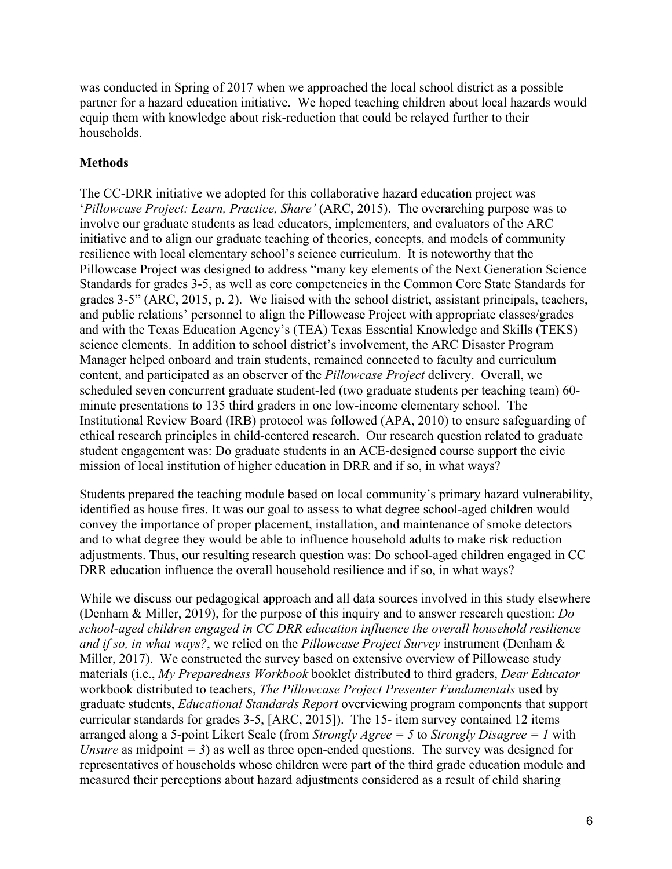was conducted in Spring of 2017 when we approached the local school district as a possible partner for a hazard education initiative. We hoped teaching children about local hazards would equip them with knowledge about risk-reduction that could be relayed further to their households.

# **Methods**

The CC-DRR initiative we adopted for this collaborative hazard education project was '*Pillowcase Project: Learn, Practice, Share'* (ARC, 2015). The overarching purpose was to involve our graduate students as lead educators, implementers, and evaluators of the ARC initiative and to align our graduate teaching of theories, concepts, and models of community resilience with local elementary school's science curriculum. It is noteworthy that the Pillowcase Project was designed to address "many key elements of the Next Generation Science Standards for grades 3-5, as well as core competencies in the Common Core State Standards for grades 3-5" (ARC, 2015, p. 2). We liaised with the school district, assistant principals, teachers, and public relations' personnel to align the Pillowcase Project with appropriate classes/grades and with the Texas Education Agency's (TEA) Texas Essential Knowledge and Skills (TEKS) science elements. In addition to school district's involvement, the ARC Disaster Program Manager helped onboard and train students, remained connected to faculty and curriculum content, and participated as an observer of the *Pillowcase Project* delivery. Overall, we scheduled seven concurrent graduate student-led (two graduate students per teaching team) 60 minute presentations to 135 third graders in one low-income elementary school. The Institutional Review Board (IRB) protocol was followed (APA, 2010) to ensure safeguarding of ethical research principles in child-centered research. Our research question related to graduate student engagement was: Do graduate students in an ACE-designed course support the civic mission of local institution of higher education in DRR and if so, in what ways?

Students prepared the teaching module based on local community's primary hazard vulnerability, identified as house fires. It was our goal to assess to what degree school-aged children would convey the importance of proper placement, installation, and maintenance of smoke detectors and to what degree they would be able to influence household adults to make risk reduction adjustments. Thus, our resulting research question was: Do school-aged children engaged in CC DRR education influence the overall household resilience and if so, in what ways?

While we discuss our pedagogical approach and all data sources involved in this study elsewhere (Denham & Miller, 2019), for the purpose of this inquiry and to answer research question: *Do school-aged children engaged in CC DRR education influence the overall household resilience and if so, in what ways?*, we relied on the *Pillowcase Project Survey* instrument (Denham & Miller, 2017). We constructed the survey based on extensive overview of Pillowcase study materials (i.e., *My Preparedness Workbook* booklet distributed to third graders, *Dear Educator* workbook distributed to teachers, *The Pillowcase Project Presenter Fundamentals* used by graduate students, *Educational Standards Report* overviewing program components that support curricular standards for grades 3-5, [ARC, 2015]). The 15- item survey contained 12 items arranged along a 5-point Likert Scale (from *Strongly Agree = 5* to *Strongly Disagree = 1* with *Unsure* as midpoint = 3) as well as three open-ended questions. The survey was designed for representatives of households whose children were part of the third grade education module and measured their perceptions about hazard adjustments considered as a result of child sharing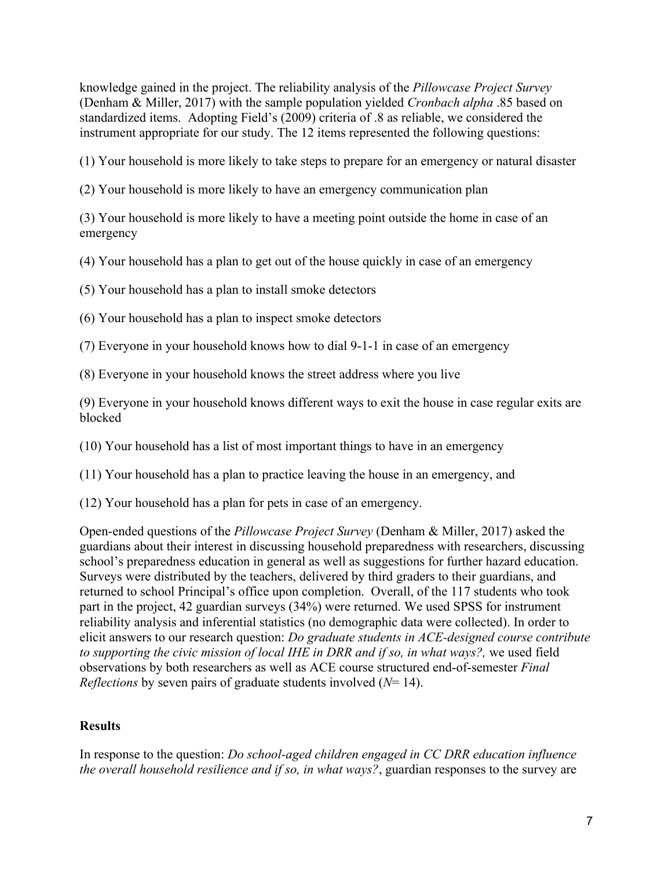knowledge gained in the project. The reliability analysis of the *Pillowcase Project Survey* (Denham & Miller, 2017) with the sample population yielded *Cronbach alpha* .85 based on standardized items. Adopting Field's (2009) criteria of .8 as reliable, we considered the instrument appropriate for our study. The 12 items represented the following questions:

(1) Your household is more likely to take steps to prepare for an emergency or natural disaster

(2) Your household is more likely to have an emergency communication plan

(3) Your household is more likely to have a meeting point outside the home in case of an emergency

(4) Your household has a plan to get out of the house quickly in case of an emergency

(5) Your household has a plan to install smoke detectors

(6) Your household has a plan to inspect smoke detectors

(7) Everyone in your household knows how to dial 9-1-1 in case of an emergency

(8) Everyone in your household knows the street address where you live

(9) Everyone in your household knows different ways to exit the house in case regular exits are blocked

(10) Your household has a list of most important things to have in an emergency

(11) Your household has a plan to practice leaving the house in an emergency, and

(12) Your household has a plan for pets in case of an emergency.

Open-ended questions of the *Pillowcase Project Survey* (Denham & Miller, 2017) asked the guardians about their interest in discussing household preparedness with researchers, discussing school's preparedness education in general as well as suggestions for further hazard education. Surveys were distributed by the teachers, delivered by third graders to their guardians, and returned to school Principal's office upon completion. Overall, of the 117 students who took part in the project, 42 guardian surveys (34%) were returned. We used SPSS for instrument reliability analysis and inferential statistics (no demographic data were collected). In order to elicit answers to our research question: *Do graduate students in ACE-designed course contribute to supporting the civic mission of local IHE in DRR and if so, in what ways?,* we used field observations by both researchers as well as ACE course structured end-of-semester *Final Reflections* by seven pairs of graduate students involved (*N*= 14).

# **Results**

In response to the question: *Do school-aged children engaged in CC DRR education influence the overall household resilience and if so, in what ways?*, guardian responses to the survey are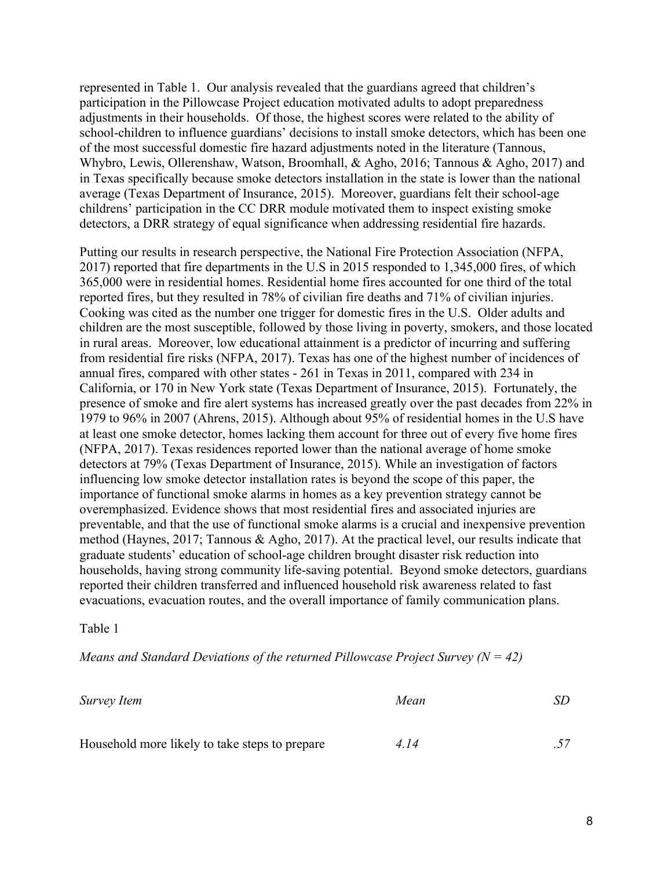represented in Table 1. Our analysis revealed that the guardians agreed that children's participation in the Pillowcase Project education motivated adults to adopt preparedness adjustments in their households. Of those, the highest scores were related to the ability of school-children to influence guardians' decisions to install smoke detectors, which has been one of the most successful domestic fire hazard adjustments noted in the literature (Tannous, Whybro, Lewis, Ollerenshaw, Watson, Broomhall, & Agho, 2016; Tannous & Agho, 2017) and in Texas specifically because smoke detectors installation in the state is lower than the national average (Texas Department of Insurance, 2015). Moreover, guardians felt their school-age childrens' participation in the CC DRR module motivated them to inspect existing smoke detectors, a DRR strategy of equal significance when addressing residential fire hazards.

Putting our results in research perspective, the National Fire Protection Association (NFPA, 2017) reported that fire departments in the U.S in 2015 responded to 1,345,000 fires, of which 365,000 were in residential homes. Residential home fires accounted for one third of the total reported fires, but they resulted in 78% of civilian fire deaths and 71% of civilian injuries. Cooking was cited as the number one trigger for domestic fires in the U.S. Older adults and children are the most susceptible, followed by those living in poverty, smokers, and those located in rural areas. Moreover, low educational attainment is a predictor of incurring and suffering from residential fire risks (NFPA, 2017). Texas has one of the highest number of incidences of annual fires, compared with other states - 261 in Texas in 2011, compared with 234 in California, or 170 in New York state (Texas Department of Insurance, 2015). Fortunately, the presence of smoke and fire alert systems has increased greatly over the past decades from 22% in 1979 to 96% in 2007 (Ahrens, 2015). Although about 95% of residential homes in the U.S have at least one smoke detector, homes lacking them account for three out of every five home fires (NFPA, 2017). Texas residences reported lower than the national average of home smoke detectors at 79% (Texas Department of Insurance, 2015). While an investigation of factors influencing low smoke detector installation rates is beyond the scope of this paper, the importance of functional smoke alarms in homes as a key prevention strategy cannot be overemphasized. Evidence shows that most residential fires and associated injuries are preventable, and that the use of functional smoke alarms is a crucial and inexpensive prevention method (Haynes, 2017; Tannous & Agho, 2017). At the practical level, our results indicate that graduate students' education of school-age children brought disaster risk reduction into households, having strong community life-saving potential. Beyond smoke detectors, guardians reported their children transferred and influenced household risk awareness related to fast evacuations, evacuation routes, and the overall importance of family communication plans.

#### Table 1

*Means and Standard Deviations of the returned Pillowcase Project Survey (N = 42)*

| Survey Item                                    | Mean | SD |
|------------------------------------------------|------|----|
|                                                |      |    |
| Household more likely to take steps to prepare | 4.14 |    |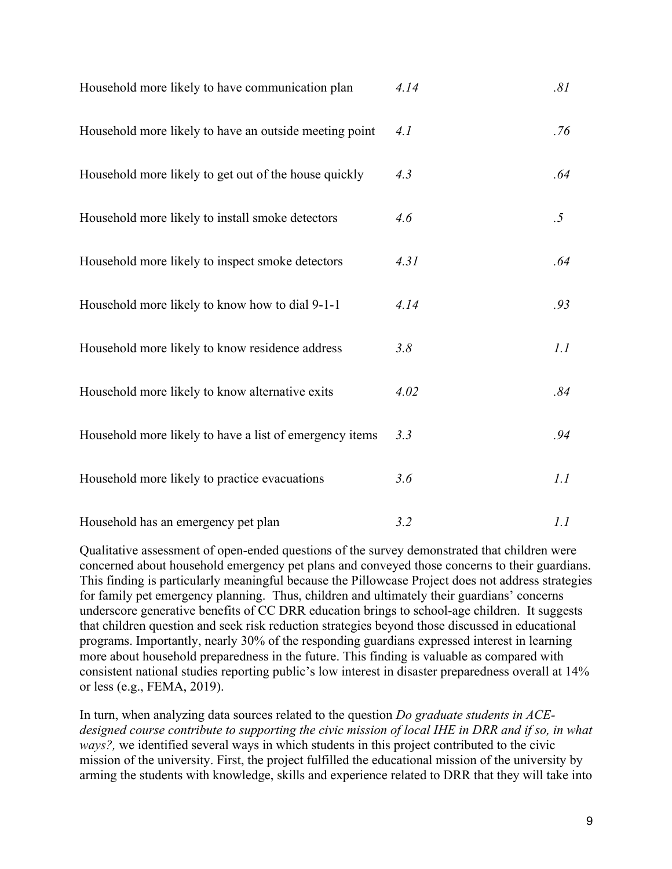| Household more likely to have communication plan        | 4.14 | .81    |
|---------------------------------------------------------|------|--------|
| Household more likely to have an outside meeting point  | 4.1  | .76    |
| Household more likely to get out of the house quickly   | 4.3  | .64    |
| Household more likely to install smoke detectors        | 4.6  | $.5\,$ |
| Household more likely to inspect smoke detectors        | 4.31 | .64    |
| Household more likely to know how to dial 9-1-1         | 4.14 | .93    |
| Household more likely to know residence address         | 3.8  | 1.1    |
| Household more likely to know alternative exits         | 4.02 | .84    |
| Household more likely to have a list of emergency items | 3.3  | .94    |
| Household more likely to practice evacuations           | 3.6  | 1.1    |
| Household has an emergency pet plan                     | 3.2  | 1.1    |

Qualitative assessment of open-ended questions of the survey demonstrated that children were concerned about household emergency pet plans and conveyed those concerns to their guardians. This finding is particularly meaningful because the Pillowcase Project does not address strategies for family pet emergency planning. Thus, children and ultimately their guardians' concerns underscore generative benefits of CC DRR education brings to school-age children. It suggests that children question and seek risk reduction strategies beyond those discussed in educational programs. Importantly, nearly 30% of the responding guardians expressed interest in learning more about household preparedness in the future. This finding is valuable as compared with consistent national studies reporting public's low interest in disaster preparedness overall at 14% or less (e.g., FEMA, 2019).

In turn, when analyzing data sources related to the question *Do graduate students in ACE*designed course contribute to supporting the civic mission of local IHE in DRR and if so, in what *ways?,* we identified several ways in which students in this project contributed to the civic mission of the university. First, the project fulfilled the educational mission of the university by arming the students with knowledge, skills and experience related to DRR that they will take into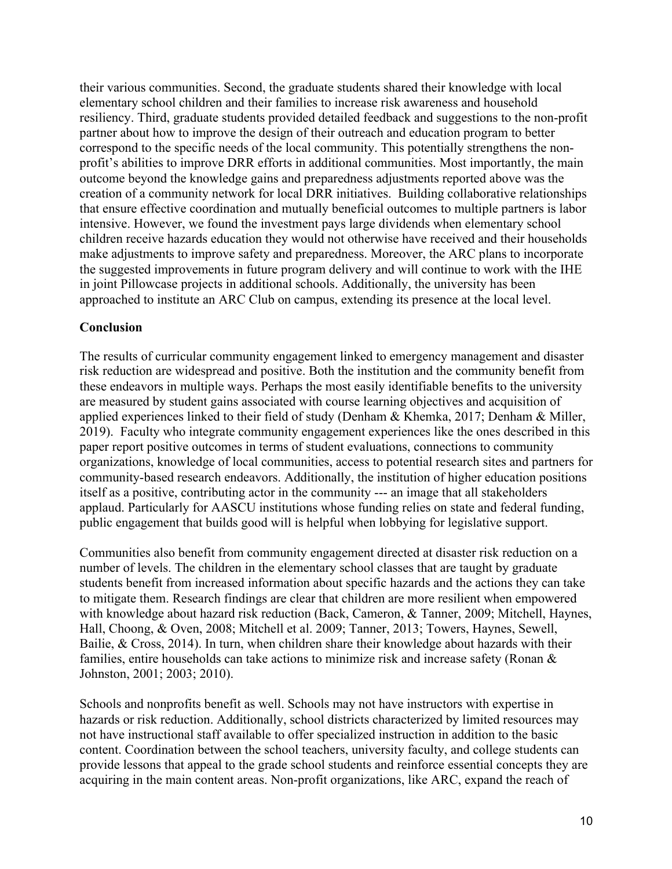their various communities. Second, the graduate students shared their knowledge with local elementary school children and their families to increase risk awareness and household resiliency. Third, graduate students provided detailed feedback and suggestions to the non-profit partner about how to improve the design of their outreach and education program to better correspond to the specific needs of the local community. This potentially strengthens the nonprofit's abilities to improve DRR efforts in additional communities. Most importantly, the main outcome beyond the knowledge gains and preparedness adjustments reported above was the creation of a community network for local DRR initiatives. Building collaborative relationships that ensure effective coordination and mutually beneficial outcomes to multiple partners is labor intensive. However, we found the investment pays large dividends when elementary school children receive hazards education they would not otherwise have received and their households make adjustments to improve safety and preparedness. Moreover, the ARC plans to incorporate the suggested improvements in future program delivery and will continue to work with the IHE in joint Pillowcase projects in additional schools. Additionally, the university has been approached to institute an ARC Club on campus, extending its presence at the local level.

## **Conclusion**

The results of curricular community engagement linked to emergency management and disaster risk reduction are widespread and positive. Both the institution and the community benefit from these endeavors in multiple ways. Perhaps the most easily identifiable benefits to the university are measured by student gains associated with course learning objectives and acquisition of applied experiences linked to their field of study (Denham & Khemka, 2017; Denham & Miller, 2019). Faculty who integrate community engagement experiences like the ones described in this paper report positive outcomes in terms of student evaluations, connections to community organizations, knowledge of local communities, access to potential research sites and partners for community-based research endeavors. Additionally, the institution of higher education positions itself as a positive, contributing actor in the community --- an image that all stakeholders applaud. Particularly for AASCU institutions whose funding relies on state and federal funding, public engagement that builds good will is helpful when lobbying for legislative support.

Communities also benefit from community engagement directed at disaster risk reduction on a number of levels. The children in the elementary school classes that are taught by graduate students benefit from increased information about specific hazards and the actions they can take to mitigate them. Research findings are clear that children are more resilient when empowered with knowledge about hazard risk reduction (Back, Cameron, & Tanner, 2009; Mitchell, Haynes, Hall, Choong, & Oven, 2008; Mitchell et al. 2009; Tanner, 2013; Towers, Haynes, Sewell, Bailie, & Cross, 2014). In turn, when children share their knowledge about hazards with their families, entire households can take actions to minimize risk and increase safety (Ronan & Johnston, 2001; 2003; 2010).

Schools and nonprofits benefit as well. Schools may not have instructors with expertise in hazards or risk reduction. Additionally, school districts characterized by limited resources may not have instructional staff available to offer specialized instruction in addition to the basic content. Coordination between the school teachers, university faculty, and college students can provide lessons that appeal to the grade school students and reinforce essential concepts they are acquiring in the main content areas. Non-profit organizations, like ARC, expand the reach of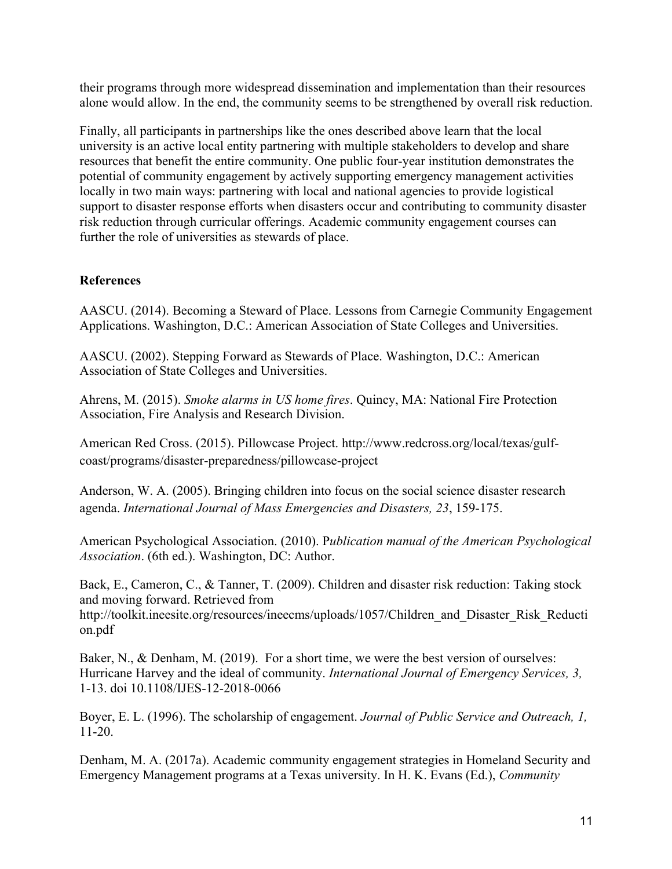their programs through more widespread dissemination and implementation than their resources alone would allow. In the end, the community seems to be strengthened by overall risk reduction.

Finally, all participants in partnerships like the ones described above learn that the local university is an active local entity partnering with multiple stakeholders to develop and share resources that benefit the entire community. One public four-year institution demonstrates the potential of community engagement by actively supporting emergency management activities locally in two main ways: partnering with local and national agencies to provide logistical support to disaster response efforts when disasters occur and contributing to community disaster risk reduction through curricular offerings. Academic community engagement courses can further the role of universities as stewards of place.

# **References**

AASCU. (2014). Becoming a Steward of Place. Lessons from Carnegie Community Engagement Applications. Washington, D.C.: American Association of State Colleges and Universities.

AASCU. (2002). Stepping Forward as Stewards of Place. Washington, D.C.: American Association of State Colleges and Universities.

Ahrens, M. (2015). *Smoke alarms in US home fires*. Quincy, MA: National Fire Protection Association, Fire Analysis and Research Division.

American Red Cross. (2015). Pillowcase Project. http://www.redcross.org/local/texas/gulfcoast/programs/disaster-preparedness/pillowcase-project

Anderson, W. A. (2005). Bringing children into focus on the social science disaster research agenda. *International Journal of Mass Emergencies and Disasters, 23*, 159-175.

American Psychological Association. (2010). P*ublication manual of the American Psychological Association*. (6th ed.). Washington, DC: Author.

Back, E., Cameron, C., & Tanner, T. (2009). Children and disaster risk reduction: Taking stock and moving forward. Retrieved from http://toolkit.ineesite.org/resources/ineecms/uploads/1057/Children\_and\_Disaster\_Risk\_Reducti on.pdf

Baker, N., & Denham, M. (2019). For a short time, we were the best version of ourselves: Hurricane Harvey and the ideal of community. *International Journal of Emergency Services, 3,* 1-13. doi 10.1108/IJES-12-2018-0066

Boyer, E. L. (1996). The scholarship of engagement. *Journal of Public Service and Outreach, 1,*  11-20.

Denham, M. A. (2017a). Academic community engagement strategies in Homeland Security and Emergency Management programs at a Texas university. In H. K. Evans (Ed.), *Community*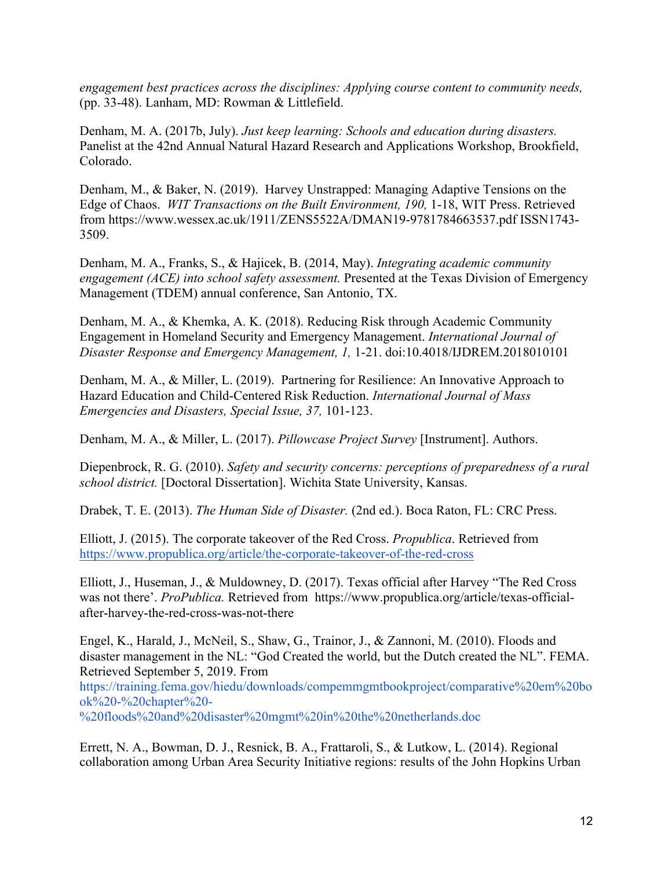*engagement best practices across the disciplines: Applying course content to community needs,*  (pp. 33-48). Lanham, MD: Rowman & Littlefield.

Denham, M. A. (2017b, July). *Just keep learning: Schools and education during disasters.* Panelist at the 42nd Annual Natural Hazard Research and Applications Workshop, Brookfield, Colorado.

Denham, M., & Baker, N. (2019). Harvey Unstrapped: Managing Adaptive Tensions on the Edge of Chaos. *WIT Transactions on the Built Environment, 190,* 1-18, WIT Press. Retrieved from https://www.wessex.ac.uk/1911/ZENS5522A/DMAN19-9781784663537.pdf ISSN1743- 3509.

Denham, M. A., Franks, S., & Hajicek, B. (2014, May). *Integrating academic community engagement (ACE) into school safety assessment.* Presented at the Texas Division of Emergency Management (TDEM) annual conference, San Antonio, TX.

Denham, M. A., & Khemka, A. K. (2018). Reducing Risk through Academic Community Engagement in Homeland Security and Emergency Management. *International Journal of Disaster Response and Emergency Management, 1,* 1-21. doi:10.4018/IJDREM.2018010101

Denham, M. A., & Miller, L. (2019). Partnering for Resilience: An Innovative Approach to Hazard Education and Child-Centered Risk Reduction. *International Journal of Mass Emergencies and Disasters, Special Issue, 37,* 101-123.

Denham, M. A., & Miller, L. (2017). *Pillowcase Project Survey* [Instrument]. Authors.

Diepenbrock, R. G. (2010). *Safety and security concerns: perceptions of preparedness of a rural school district.* [Doctoral Dissertation]. Wichita State University, Kansas.

Drabek, T. E. (2013). *The Human Side of Disaster.* (2nd ed.). Boca Raton, FL: CRC Press.

Elliott, J. (2015). The corporate takeover of the Red Cross. *Propublica*. Retrieved from https://www.propublica.org/article/the-corporate-takeover-of-the-red-cross

Elliott, J., Huseman, J., & Muldowney, D. (2017). Texas official after Harvey "The Red Cross was not there'. *ProPublica*. Retrieved from https://www.propublica.org/article/texas-officialafter-harvey-the-red-cross-was-not-there

Engel, K., Harald, J., McNeil, S., Shaw, G., Trainor, J., & Zannoni, M. (2010). Floods and disaster management in the NL: "God Created the world, but the Dutch created the NL". FEMA. Retrieved September 5, 2019. From https://training.fema.gov/hiedu/downloads/compemmgmtbookproject/comparative%20em%20bo ok%20-%20chapter%20- %20floods%20and%20disaster%20mgmt%20in%20the%20netherlands.doc

Errett, N. A., Bowman, D. J., Resnick, B. A., Frattaroli, S., & Lutkow, L. (2014). Regional collaboration among Urban Area Security Initiative regions: results of the John Hopkins Urban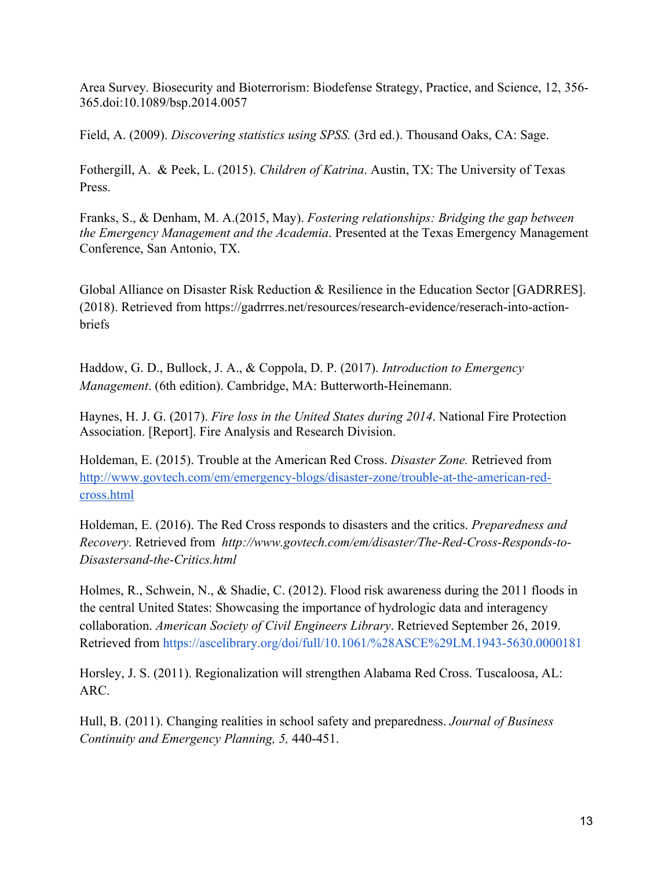Area Survey. Biosecurity and Bioterrorism: Biodefense Strategy, Practice, and Science, 12, 356- 365.doi:10.1089/bsp.2014.0057

Field, A. (2009). *Discovering statistics using SPSS.* (3rd ed.). Thousand Oaks, CA: Sage.

Fothergill, A. & Peek, L. (2015). *Children of Katrina*. Austin, TX: The University of Texas Press.

Franks, S., & Denham, M. A.(2015, May). *Fostering relationships: Bridging the gap between the Emergency Management and the Academia*. Presented at the Texas Emergency Management Conference, San Antonio, TX.

Global Alliance on Disaster Risk Reduction & Resilience in the Education Sector [GADRRES]. (2018). Retrieved from https://gadrrres.net/resources/research-evidence/reserach-into-actionbriefs

Haddow, G. D., Bullock, J. A., & Coppola, D. P. (2017). *Introduction to Emergency Management*. (6th edition). Cambridge, MA: Butterworth-Heinemann.

Haynes, H. J. G. (2017). *Fire loss in the United States during 2014*. National Fire Protection Association. [Report]. Fire Analysis and Research Division.

Holdeman, E. (2015). Trouble at the American Red Cross. *Disaster Zone.* Retrieved from http://www.govtech.com/em/emergency-blogs/disaster-zone/trouble-at-the-american-redcross.html

Holdeman, E. (2016). The Red Cross responds to disasters and the critics. *Preparedness and Recovery*. Retrieved from *http://www.govtech.com/em/disaster/The-Red-Cross-Responds-to-Disastersand-the-Critics.html*

Holmes, R., Schwein, N., & Shadie, C. (2012). Flood risk awareness during the 2011 floods in the central United States: Showcasing the importance of hydrologic data and interagency collaboration. *American Society of Civil Engineers Library*. Retrieved September 26, 2019. Retrieved from https://ascelibrary.org/doi/full/10.1061/%28ASCE%29LM.1943-5630.0000181

Horsley, J. S. (2011). Regionalization will strengthen Alabama Red Cross. Tuscaloosa, AL: ARC.

Hull, B. (2011). Changing realities in school safety and preparedness. *Journal of Business Continuity and Emergency Planning, 5,* 440-451.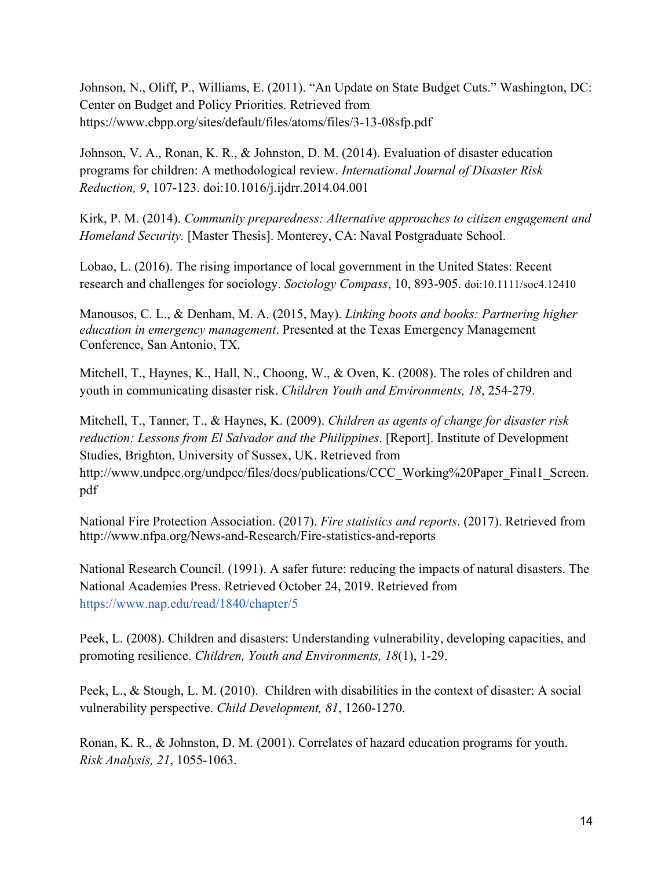Johnson, N., Oliff, P., Williams, E. (2011). "An Update on State Budget Cuts." Washington, DC: Center on Budget and Policy Priorities. Retrieved from https://www.cbpp.org/sites/default/files/atoms/files/3-13-08sfp.pdf

Johnson, V. A., Ronan, K. R., & Johnston, D. M. (2014). Evaluation of disaster education programs for children: A methodological review. *International Journal of Disaster Risk Reduction, 9*, 107-123. doi:10.1016/j.ijdrr.2014.04.001

Kirk, P. M. (2014). *Community preparedness: Alternative approaches to citizen engagement and Homeland Security.* [Master Thesis]. Monterey, CA: Naval Postgraduate School.

Lobao, L. (2016). The rising importance of local government in the United States: Recent research and challenges for sociology. *Sociology Compass*, 10, 893-905. doi:10.1111/soc4.12410

Manousos, C. L., & Denham, M. A. (2015, May). *Linking boots and books: Partnering higher education in emergency management*. Presented at the Texas Emergency Management Conference, San Antonio, TX.

Mitchell, T., Haynes, K., Hall, N., Choong, W., & Oven, K. (2008). The roles of children and youth in communicating disaster risk. *Children Youth and Environments, 18*, 254-279.

Mitchell, T., Tanner, T., & Haynes, K. (2009). *Children as agents of change for disaster risk reduction: Lessons from El Salvador and the Philippines*. [Report]. Institute of Development Studies, Brighton, University of Sussex, UK. Retrieved from http://www.undpcc.org/undpcc/files/docs/publications/CCC\_Working%20Paper\_Final1\_Screen. pdf

National Fire Protection Association. (2017). *Fire statistics and reports*. (2017). Retrieved from http://www.nfpa.org/News-and-Research/Fire-statistics-and-reports

National Research Council. (1991). A safer future: reducing the impacts of natural disasters. The National Academies Press. Retrieved October 24, 2019. Retrieved from https://www.nap.edu/read/1840/chapter/5

Peek, L. (2008). Children and disasters: Understanding vulnerability, developing capacities, and promoting resilience. *Children, Youth and Environments, 18*(1), 1-29.

Peek, L., & Stough, L. M. (2010). Children with disabilities in the context of disaster: A social vulnerability perspective. *Child Development, 81*, 1260-1270.

Ronan, K. R., & Johnston, D. M. (2001). Correlates of hazard education programs for youth. *Risk Analysis, 21*, 1055-1063.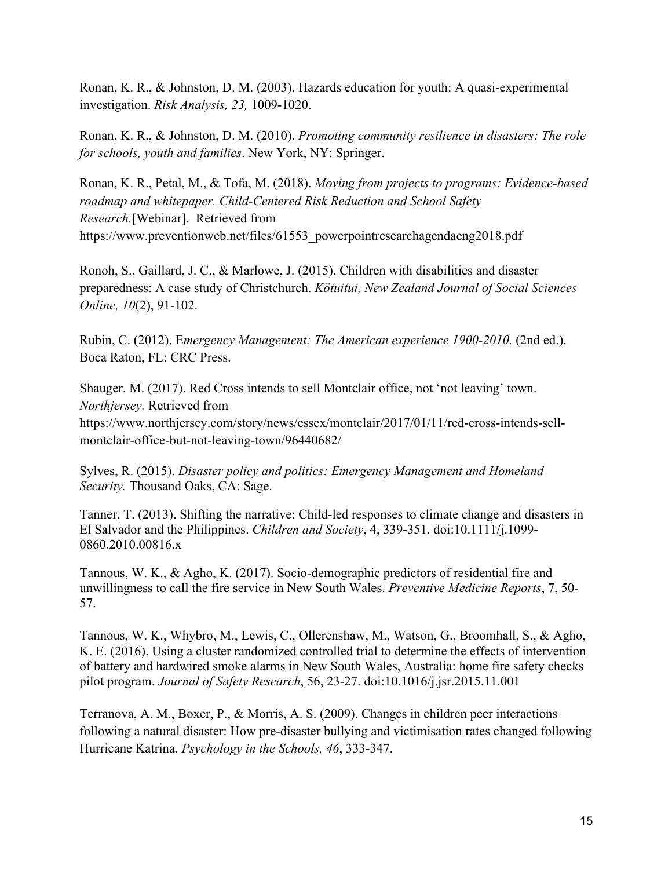Ronan, K. R., & Johnston, D. M. (2003). Hazards education for youth: A quasi-experimental investigation. *Risk Analysis, 23,* 1009-1020.

Ronan, K. R., & Johnston, D. M. (2010). *Promoting community resilience in disasters: The role for schools, youth and families*. New York, NY: Springer.

Ronan, K. R., Petal, M., & Tofa, M. (2018). *Moving from projects to programs: Evidence-based roadmap and whitepaper. Child-Centered Risk Reduction and School Safety Research.*[Webinar]. Retrieved from https://www.preventionweb.net/files/61553\_powerpointresearchagendaeng2018.pdf

Ronoh, S., Gaillard, J. C., & Marlowe, J. (2015). Children with disabilities and disaster preparedness: A case study of Christchurch. *Kötuitui, New Zealand Journal of Social Sciences Online, 10*(2), 91-102.

Rubin, C. (2012). E*mergency Management: The American experience 1900-2010.* (2nd ed.). Boca Raton, FL: CRC Press.

Shauger. M. (2017). Red Cross intends to sell Montclair office, not 'not leaving' town. *Northjersey.* Retrieved from https://www.northjersey.com/story/news/essex/montclair/2017/01/11/red-cross-intends-sellmontclair-office-but-not-leaving-town/96440682/

Sylves, R. (2015). *Disaster policy and politics: Emergency Management and Homeland Security.* Thousand Oaks, CA: Sage.

Tanner, T. (2013). Shifting the narrative: Child-led responses to climate change and disasters in El Salvador and the Philippines. *Children and Society*, 4, 339-351. doi:10.1111/j.1099- 0860.2010.00816.x

Tannous, W. K., & Agho, K. (2017). Socio-demographic predictors of residential fire and unwillingness to call the fire service in New South Wales. *Preventive Medicine Reports*, 7, 50- 57.

Tannous, W. K., Whybro, M., Lewis, C., Ollerenshaw, M., Watson, G., Broomhall, S., & Agho, K. E. (2016). Using a cluster randomized controlled trial to determine the effects of intervention of battery and hardwired smoke alarms in New South Wales, Australia: home fire safety checks pilot program. *Journal of Safety Research*, 56, 23-27. doi:10.1016/j.jsr.2015.11.001

Terranova, A. M., Boxer, P., & Morris, A. S. (2009). Changes in children peer interactions following a natural disaster: How pre-disaster bullying and victimisation rates changed following Hurricane Katrina. *Psychology in the Schools, 46*, 333-347.